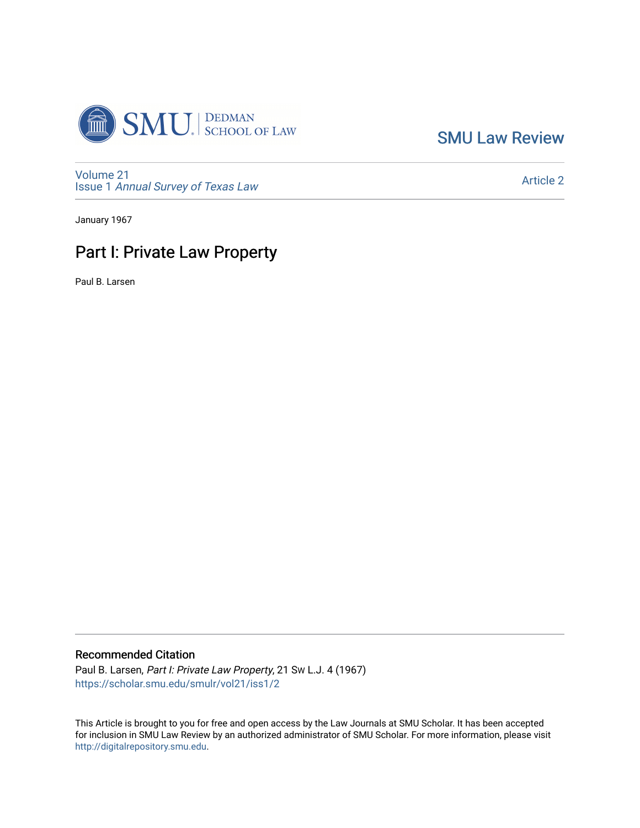

[SMU Law Review](https://scholar.smu.edu/smulr) 

[Volume 21](https://scholar.smu.edu/smulr/vol21) Issue 1 [Annual Survey of Texas Law](https://scholar.smu.edu/smulr/vol21/iss1) 

[Article 2](https://scholar.smu.edu/smulr/vol21/iss1/2) 

January 1967

# Part I: Private Law Property

Paul B. Larsen

## Recommended Citation

Paul B. Larsen, Part I: Private Law Property, 21 SW L.J. 4 (1967) [https://scholar.smu.edu/smulr/vol21/iss1/2](https://scholar.smu.edu/smulr/vol21/iss1/2?utm_source=scholar.smu.edu%2Fsmulr%2Fvol21%2Fiss1%2F2&utm_medium=PDF&utm_campaign=PDFCoverPages) 

This Article is brought to you for free and open access by the Law Journals at SMU Scholar. It has been accepted for inclusion in SMU Law Review by an authorized administrator of SMU Scholar. For more information, please visit [http://digitalrepository.smu.edu.](http://digitalrepository.smu.edu/)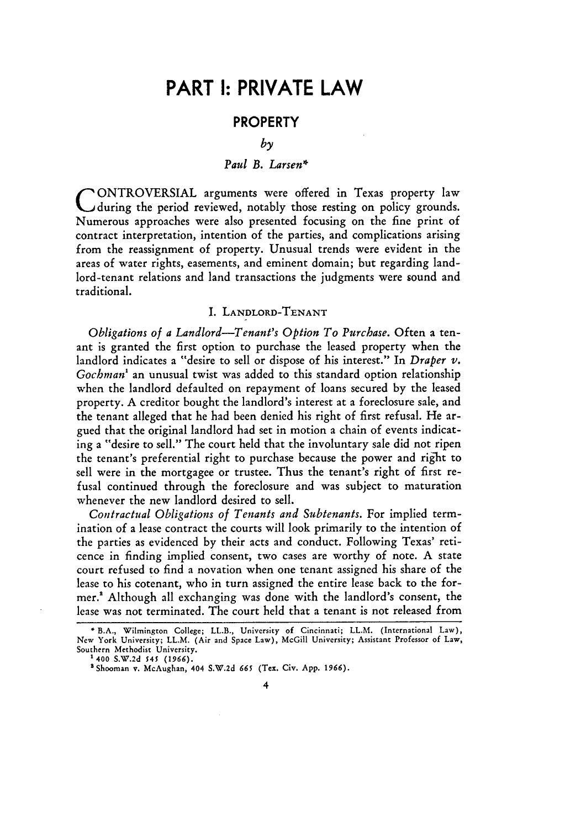# **PART I: PRIVATE LAW**

## **PROPERTY**

*by*

#### *Paul B. Larsen\**

**C** ONTROVERSIAL arguments were offered in Texas property law during the period reviewed, notably those resting on policy grounds. Numerous approaches were also presented focusing on the fine print of contract interpretation, intention of the parties, and complications arising from the reassignment of property. Unusual trends were evident in the areas of water rights, easements, and eminent domain; but regarding landlord-tenant relations and land transactions the judgments were sound and traditional.

#### I. **LANDLORD-TENANT**

*Obligations of a Landlord-Tenant's Option To Purchase.* Often a tenant is granted the first option to purchase the leased property when the landlord indicates a "desire to sell or dispose of his interest." In *Draper v. Gochman'* an unusual twist was added to this standard option relationship when the landlord defaulted on repayment of loans secured by the leased property. A creditor bought the landlord's interest at a foreclosure sale, and the tenant alleged that he had been denied his right of first refusal. He argued that the original landlord had set in motion a chain of events indicating a "desire to sell." The court held that the involuntary sale did not ripen the tenant's preferential right to purchase because the power and right to sell were in the mortgagee or trustee. Thus the tenant's right of first refusal continued through the foreclosure and was subject to maturation whenever the new landlord desired to sell.

*Contractual Obligations of Tenants and Subtenants.* For implied termination of a lease contract the courts will look primarily to the intention of the parties as evidenced by their acts and conduct. Following Texas' reticence in finding implied consent, two cases are worthy of note. A state court refused to find a novation when one tenant assigned his share of the lease to his cotenant, who in turn assigned the entire lease back to the former.' Although all exchanging was done with the landlord's consent, the lease was not terminated. The court held that a tenant is not released from

<sup>\*</sup>B.A., Wilmington College; LL.B., University of Cincinnati; LL.M. (International Law), New York University; LL.M. (Air and Space Law), McGill University; Assistant Professor of Law, Southern Methodist University.

**<sup>1400</sup> S.W.2d 545 (1966).**

<sup>&#</sup>x27;Shoomin v. McAughan, 404 S.W.2d **665** (Tex. Civ. App. 1966).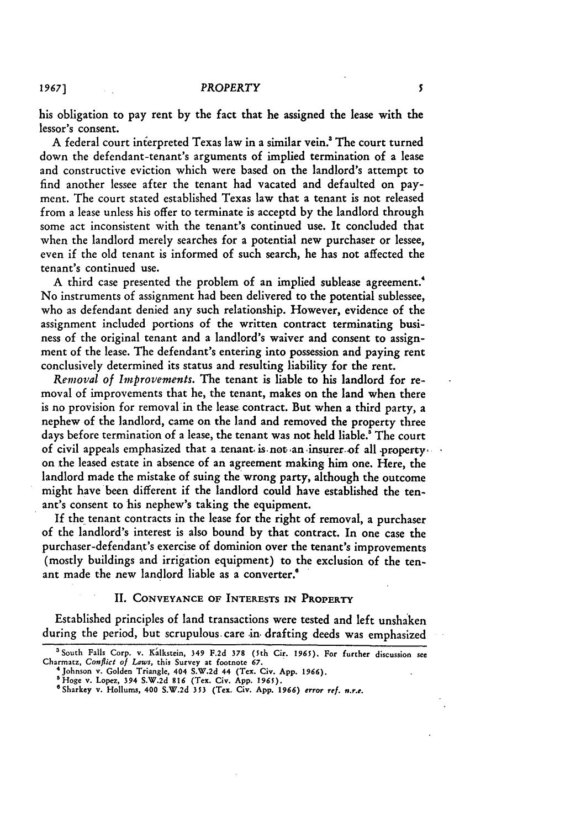his obligation to pay rent by the fact that he assigned the lease with the lessor's consent.

A federal court interpreted Texas law in a similar vein.<sup>3</sup> The court turned down the defendant-tenant's arguments of implied termination of a lease and constructive eviction which were based on the landlord's attempt to find another lessee after the tenant had vacated and defaulted on payment. The court stated established Texas law that a tenant is not released from a lease unless his offer to terminate is acceptd by the landlord through some act inconsistent with the tenant's continued use. It concluded that when the landlord merely searches for a potential new purchaser or lessee, even if the old tenant is informed of such search, he has not affected the tenant's continued use.

A third case presented the problem of an implied sublease agreement.<sup>4</sup> No instruments of assignment had been delivered to the potential sublessee, who as defendant denied any such relationship. However, evidence of the assignment included portions of the written contract terminating business of the original tenant and a landlord's waiver and consent to assignment of the lease. The defendant's entering into possession and paying rent conclusively determined its status and resulting liability for the rent.

*Removal of Improvements.* The tenant is liable to his landlord for removal of improvements that he, the tenant, makes on the land when there is no provision for removal in the lease contract. But when a third party, a nephew of the landlord, came on the land and removed the property three days before termination of a lease, the tenant was not held liable.<sup>8</sup> The court of civil appeals emphasized that a tenant is not an insurer of all property, on the leased estate in absence of an agreement making him one. Here, the landlord made the mistake of suing the wrong party, although the outcome might have been different if the landlord could have established the tenant's consent to his nephew's taking the equipment.

**If** the tenant contracts in the lease for the right of removal, a purchaser of the landlord's interest is also bound by that contract. In one case the purchaser-defendant's exercise of dominion over the tenant's improvements (mostly buildings and irrigation equipment) to the exclusion of the tenant made the new landlord liable as a converter.<sup>®</sup>

## II. **CONVEYANCE** OF INTERESTS **IN PROPERTY**

Established principles of land transactions were tested and left unshaken during the period, but scrupulous care in drafting deeds was emphasized

<sup>&#</sup>x27;South Falls Corp. v. Kalkstein, **349 F.2d 378** (5th **Cir.** *1965).* **For** further discussion **see** Charmatz, *Conflict of Laws,* this Survey at **footnote 67.** <sup>4</sup> Johnson v. Golden **Triangle, 404 S.W.2d** 44 (Tex. **Civ. App. 1966).**

**<sup>&#</sup>x27;Hoge** v. **Lopez,** 394 **S.W.2d 816** (Tex. **Civ. App. 1965).** 'Sharkey v. Hollums, **400 S.W.2d 353** (Tex. **Civ. App. 1966)** *error ref. n.r.e.*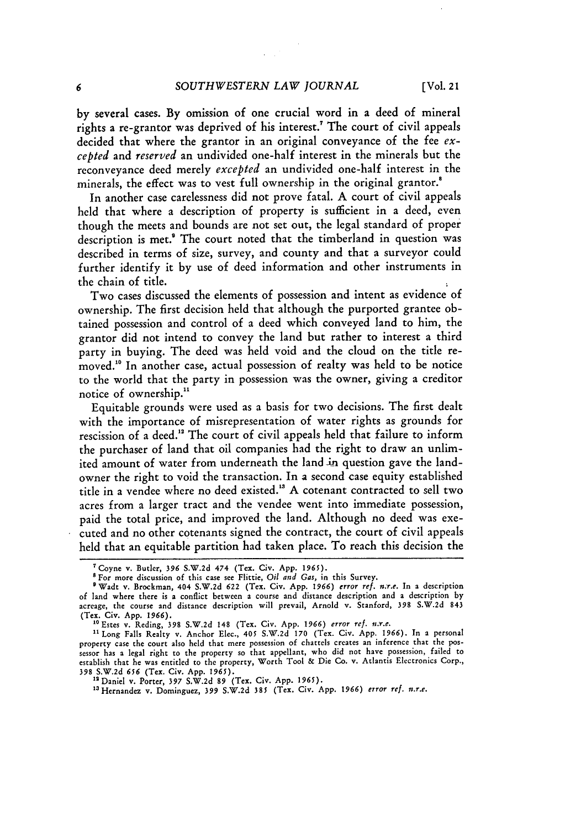by several cases. By omission of one crucial word in a deed of mineral rights a re-grantor was deprived of his interest." The court of civil appeals decided that where the grantor in an original conveyance of the fee *excepted* and *reserved* an undivided one-half interest in the minerals but the reconveyance deed merely *excepted* an undivided one-half interest in the minerals, the effect was to vest full ownership in the original grantor.<sup>8</sup>

In another case carelessness did not prove fatal. A court of civil appeals held that where a description of property is sufficient in a deed, even though the meets and bounds are not set out, the legal standard of proper description is met." The court noted that the timberland in question was described in terms of size, survey, and county and that a surveyor could further identify it by use of deed information and other instruments in the chain of title.

Two cases discussed the elements of possession and intent as evidence of ownership. The first decision held that although the purported grantee obtained possession and control of a deed which conveyed land to him, the grantor did not intend to convey the land but rather to interest a third party in buying. The deed was held void and the cloud on the title removed." In another case, actual possession of realty was held to be notice to the world that the party in possession was the owner, giving a creditor notice of ownership."

Equitable grounds were used as a basis for two decisions. The first dealt with the importance of misrepresentation of water rights as grounds for rescission of a deed." The court of civil appeals held that failure to inform the purchaser of land that oil companies had the right to draw an unlimited amount of water from underneath the land in question gave the landowner the right to void the transaction. In a second case equity established title in a vendee where no deed existed.<sup>18</sup> A cotenant contracted to sell two acres from a larger tract and the vendee went into immediate possession, paid the total price, and improved the land. Although no deed was executed and no other cotenants signed the contract, the court of civil appeals held that an equitable partition had taken place. To reach this decision the

<sup>7</sup>Coyne v. Butler, 396 S.W.2d 474 (Tex. Civ. App. *1965).*

<sup>&#</sup>x27;For more discussion of this case see Flittie, *Oil and Gas,* in this Survey.

OWadt v. Brockman, 404 S.W.2d 622 (Tex. Civ. App. *1966) error ref. n.r.e.* In a description of land where there is a conflict between a course and distance description and a description by acreage, the course and distance description will prevail, Arnold v. Stanford, 398 S.W.2d 843 (Tex. Civ. App. 1966). " Estes v. Reding, 398 S.W.2d 148 (Tex. Civ. App. *1966) error ref. n.r.e.*

**<sup>&</sup>quot;** Long Falls Realty v. Anchor Elec., 405 S.W.2d 170 (Tex. Civ. App. 1966). In a personal property case the court also held that mere possession of chattels creates an inference that the possessor has a legal right to the property so that appellant, who did not have possession, failed to establish that he was entitled to the property, Worth Tool & Die Co. v. Atlantis Electronics Corp., 398 S.W.2d *656* (Tex. Civ. App. *1965).*

<sup>&</sup>lt;sup>13</sup> Daniel v. Porter, 397 S.W.2d 89 (Tex. Civ. App. 1965).<br><sup>13</sup> Hernandez v. Dominguez, 399 S.W.2d 385 (Tex. Civ. App. 1966) *error ref. n.r.e*.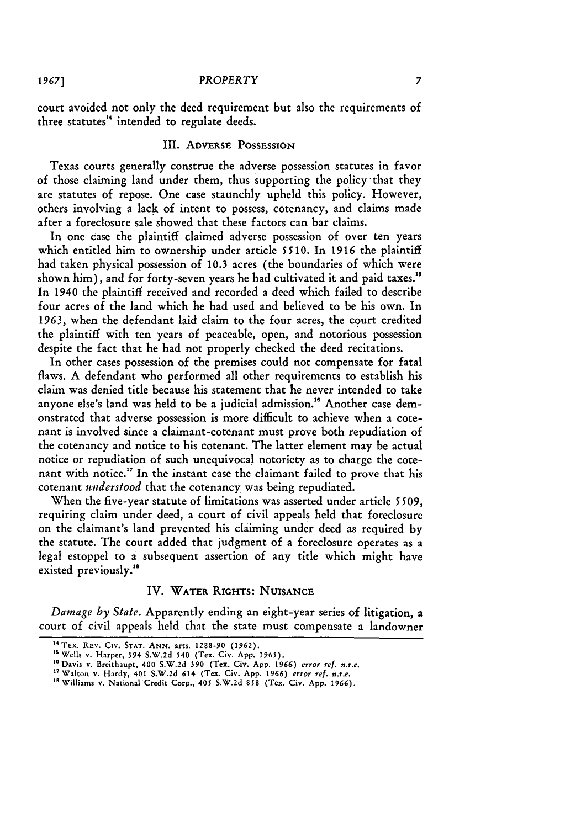court avoided not only the deed requirement but also the requirements of three statutes<sup>14</sup> intended to regulate deeds.

## III. ADVERSE POSSESSION

Texas courts generally construe the adverse possession statutes in favor of those claiming land under them, thus supporting the policy that they are statutes of repose. One case staunchly upheld this policy. However, others involving a lack of intent to possess, cotenancy, and claims made after a foreclosure sale showed that these factors can bar claims.

In one case the plaintiff claimed adverse possession of over ten years which entitled him to ownership under article **5510.** In 1916 the plaintiff had taken physical possession of 10.3 acres (the boundaries of which were shown him), and for forty-seven years he had cultivated it and paid taxes."' In 1940 the plaintiff received and recorded a deed which failed to describe four acres of the land which he had used and believed to be his own. In 1963, when the defendant laid claim to the four acres, the court credited the plaintiff with ten years of peaceable, open, and notorious possession despite the fact that he had not properly checked the deed recitations.

In other cases possession of the premises could not compensate for fatal flaws. A defendant who performed all other requirements to establish his claim was denied title because his statement that he never intended to take anyone else's land was held to be a judicial admission."6 Another case demonstrated that adverse possession is more difficult to achieve when a cotenant is involved since a claimant-cotenant must prove both repudiation of the cotenancy and notice to his cotenant. The latter element may be actual notice or repudiation of such unequivocal notoriety as to charge the cotenant with notice.<sup>17</sup> In the instant case the claimant failed to prove that his cotenant *understood* that the cotenancy was being repudiated.

When the five-year statute of limitations was asserted under article *5509,* requiring claim under deed, a court of civil appeals held that foreclosure on the claimant's land prevented his claiming under deed as required by the statute. The court added that judgment of a foreclosure operates as a legal estoppel to a subsequent assertion of any title which might have existed previously."

#### IV. WATER RIGHTS: NUISANCE

*Damage by State.* Apparently ending an eight-year series of litigation, a court of civil appeals held that the state must compensate a landowner

<sup>4</sup> TEx. REv. Civ. **STAT. ANN.** arts. **1288-90 (1962). "'** Wells v. Harper, 394 **S.W.2d** 540 (Tex. Civ. **App. 1965).**

<sup>&</sup>lt;sup>16</sup> Davis v. Breithaupt, 400 S.W.2d 390 (Tex. Civ. App. 1966) error ref. n.r.e.<br><sup>17</sup> Walton v. Hardy, 400 S.W.2d 390 (Tex. Civ. App. 1966) error ref. n.r.e.<br><sup>17</sup> Walton v. Nacional Credit Corp. 405 S.W.2d 359 (Tex. Civ.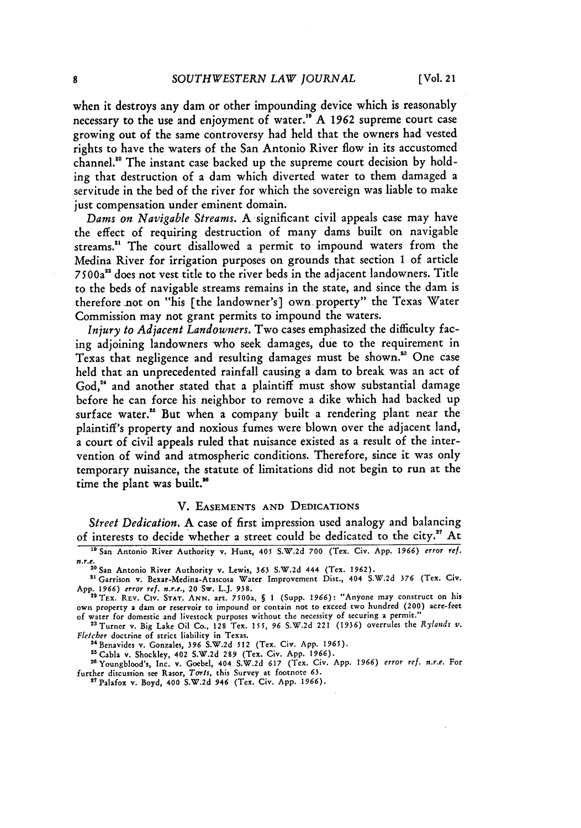when it destroys any dam or other impounding device which is reasonably necessary to the use and enjoyment of water.<sup>19</sup> A 1962 supreme court case growing out of the same controversy had held that the owners had vested rights to have the waters of the San Antonio River flow in its accustomed channel."0 The instant case backed up the supreme court decision by holding that destruction of a dam which diverted water to them damaged a servitude in the bed of the river for which the sovereign was liable to make just compensation under eminent domain.

*Dams on Navigable* Streams. A significant civil appeals case may have the effect of requiring destruction of many dams built on navigable streams.<sup>21</sup> The court disallowed a permit to impound waters from the Medina River for irrigation purposes on grounds that section 1 of article 7500a12 does not vest title to the river beds in the adjacent landowners. Title to the beds of navigable streams remains in the state, and since the dam is therefore not on "his [the landowner's] own property" the Texas Water Commission may not grant permits to impound the waters.

*Injury to Adjacent Landowners.* Two cases emphasized the difficulty facing adjoining landowners who seek damages, due to the requirement in Texas that negligence and resulting damages must be shown.<sup>33</sup> One case held that an unprecedented rainfall causing a dam to break was an act of God,<sup>24</sup> and another stated that a plaintiff must show substantial damage before he can force his neighbor to remove a dike which had backed up surface water.<sup>25</sup> But when a company built a rendering plant near the plaintiff's property and noxious fumes were blown over the adjacent land, a court of civil appeals ruled that nuisance existed as a result of the intervention of wind and atmospheric conditions. Therefore, since it was only temporary nuisance, the statute of limitations did not begin to run at the time the plant was built."

#### V. **EASEMENTS AND DEDICATIONS**

Street *Dedication.* A case of first impression used analogy and balancing of interests to decide whether a street could be dedicated to the city.<sup>27</sup> At

**<sup>1</sup>**San Antonio River Authority v. Hunt, 405 S.W.2d **700** (Tex. Civ. App. 1966) *error ref. mr.e.*

<sup>...&</sup>lt;br><sup>20</sup> San Antonio River Authority v. Lewis, 363 S.W.2d 444 (Tex. 1962)

<sup>&</sup>quot; Garrison v. Bexar-Medina-Atascosa Water Improvement Dist., 404 S.W.2d **376** (Tex. Civ. App. 1966) *error ref. n.r.e.*, 20 Sw. L.J. 938.<br><sup>22</sup> TEX. REV. CIV. STAT. ANN. art. 7500a, § 1 (Supp. 1966): "Anyone may construct on his

own property a dam or reservoir to impound or contain not to exceed two hundred (200) acre-feet of water for domestic and livestock purposes without the necessity of securing a permit." 2'3Turner v. Big Lake Oil Co., 128 Tex. **155, 96** S.W.2d 221 **(1936)** overrules the *Rylands v.*

*Fletcher* doctrine of strict liability in Texas.

<sup>&</sup>lt;sup>24</sup> Benavides v. Gonzales, 396 S.W.2d 512 (Tex. Civ. App. 1965).<br><sup>25</sup> Cable v. Shockley, 402 S.W.2d 289 (Tex. Civ. App. 1966).

Cabla v. Shockley, 402 S.W.2d **289** (Tex. Civ. App. **1966).**

TYoungblood's, Inc. v. Goebel, 404 S.W.2d **617** (Tex. Civ. App. **1966)** *error ref. n.r.e.* For further discussion see Rasor, **Tarts,** this Survey at footnote **63.** "'Palafox v. Boyd, 400 S.W.2d 946 (Tex. Civ. App. 1966).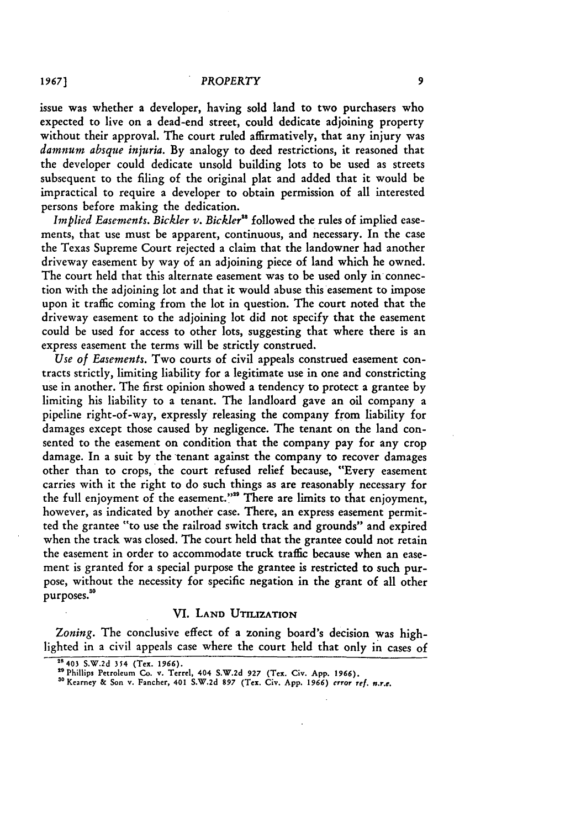issue was whether a developer, having sold land to two purchasers who expected to live on a dead-end street, could dedicate adjoining property without their approval. The court ruled affirmatively, that any injury was *damnum absque injuria.* **By** analogy to deed restrictions, it reasoned that the developer could dedicate unsold building lots to be used as streets subsequent to the filing of the original plat and added that it would be impractical to require a developer to obtain permission of all interested persons before making the dedication.

*Implied Easements. Bickler v. Bickler"* followed the rules of implied easements, that use must be apparent, continuous, and necessary. In the case the Texas Supreme Court rejected a claim that the landowner had another driveway easement by way of an adjoining piece of land which he owned. The court held that this alternate easement was to be used only in connection with the adjoining lot and that it would abuse this easement to impose upon it traffic coming from the lot in question. The court noted that the driveway easement to the adjoining lot did not specify that the easement could be used for access to other lots, suggesting that where there is an express easement the terms will be strictly construed.

*Use of Easements.* Two courts of civil appeals construed easement contracts strictly, limiting liability for a legitimate use in one and constricting use in another. The first opinion showed a tendency to protect a grantee by limiting his liability to a tenant. The landloard gave an oil company a pipeline right-of-way, expressly releasing the company from liability for damages except those caused by negligence. The tenant on the land consented to the easement on condition that the company pay for any crop damage. In a suit by the tenant against the company to recover damages other than to crops, the court refused relief because, "Every easement carries with it the right to do such things as are reasonably necessary for the full enjoyment of the easement.'"' There are limits to that enjoyment, however, as indicated by another case. There, an express easement permitted the grantee "to use the railroad switch track and grounds" and expired when the track was closed. The court held that the grantee could not retain the easement in order to accommodate truck traffic because when an easement is granted for a special purpose the grantee is restricted to such purpose, without the necessity for specific negation in the grant of all other purposes.<sup>30</sup>

#### **VI.** LAND **UTILIZATION**

*Zoning.* The conclusive effect of a zoning board's decision was highlighted in a civil appeals case where the court held that only in cases of

<sup>&</sup>quot;403 **S.W.2d** 354 **(Tex. 1966).**

**<sup>&</sup>quot;'Phillips Petroleum Co. v. Terrel, 404 S.W.2d 927 (Tex. Civ. App. 1966).**

**<sup>30</sup> Kearney & Son v. Fancher, 401 S.W.2d 897 (Tex. Civ. App. 1966)** *error ref. n.r.e.*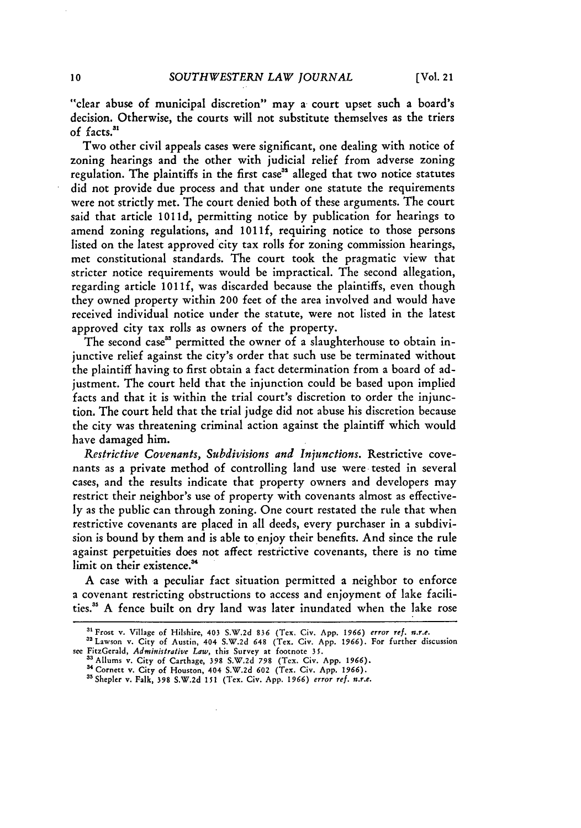"clear abuse of municipal discretion" may a court upset such a board's decision. Otherwise, the courts will not substitute themselves as the triers **of** facts.

Two other civil appeals cases were significant, one dealing with notice of zoning hearings and the other with judicial relief from adverse zoning regulation. The plaintiffs in the first case<sup>32</sup> alleged that two notice statutes did not provide due process and that under one statute the requirements were not strictly met. The court denied both of these arguments. The court said that article 1011d, permitting notice by publication for hearings to amend zoning regulations, and **1011f,** requiring notice to those persons listed on the latest approved city tax rolls for zoning commission hearings, met constitutional standards. The court took the pragmatic view that stricter notice requirements would be impractical. The second allegation, regarding article **1011f,** was discarded because the plaintiffs, even though they owned property within 200 feet of the area involved and would have received individual notice under the statute, were not listed in the latest approved city tax rolls as owners of the property.

The second case<sup>33</sup> permitted the owner of a slaughterhouse to obtain injunctive relief against the city's order that such use be terminated without the plaintiff having to first obtain a fact determination from a board of adjustment. The court held that the injunction could be based upon implied facts and that it is within the trial court's discretion to order the injunction. The court held that the trial judge did not abuse his discretion because the city was threatening criminal action against the plaintiff which would have damaged him.

*Restrictive Covenants, Subdivisions and Injunctions.* Restrictive covenants as a private method of controlling land use were tested in several cases, and the results indicate that property owners and developers may restrict their neighbor's use of property with covenants almost as effectively as the public can through zoning. One court restated the rule that when restrictive covenants are placed in all deeds, every purchaser in a subdivision is bound by them and is able to enjoy their benefits. And since the rule against perpetuities does not affect restrictive covenants, there is no time limit on their existence.<sup>34</sup>

A case with a peculiar fact situation permitted a neighbor to enforce a covenant restricting obstructions to access and enjoyment of lake facilities." A fence built on dry land was later inundated when the lake rose

<sup>&</sup>quot;Frost v. Village of Hilshire, 403 S.W.2d **836** (Tex. Civ. App. *1966) error ref. n.r.e.*

<sup>&</sup>quot;Lawson v. City of Austin, 404 S.W.2d 648 (Tex. Civ. App. **1966).** For further discussion see FitzGerald, *Administrative Law,* this Survey at footnote 35.

<sup>3</sup>Allums v. City of Carthage, 398 S.W.2d **798** (Tex. Civ. App. 1966). 3 Cornett v. City of Houston, 404 S.W.2d **602** (Tex. Civ. App. **1966).**

<sup>&</sup>quot;Shepler v. Falk, **398** S.W.2d 151 (Tex. Civ. App. **1966)** *error ref. n.r.e.*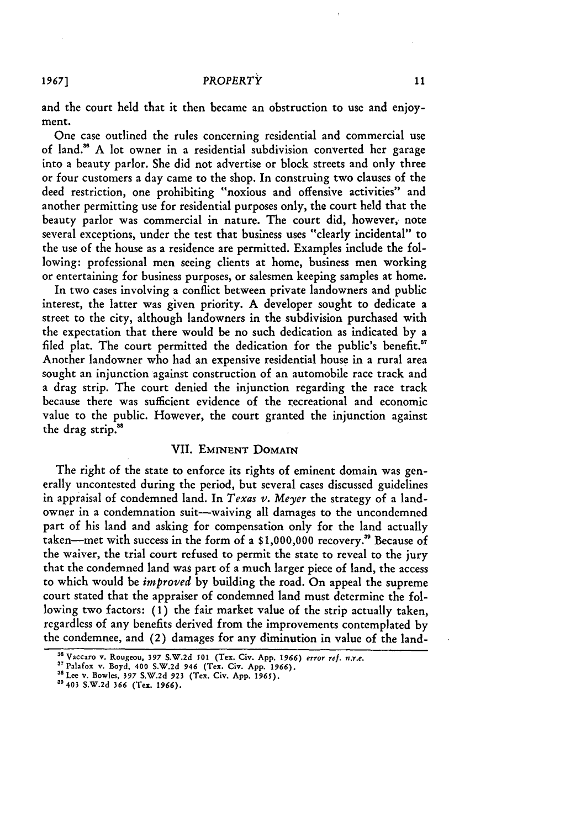and the court held that it then became an obstruction to use and enjoyment.

One case outlined the rules concerning residential and commercial use of land." A lot owner in a residential subdivision converted her garage into a beauty parlor. She did not advertise or block streets and only three or four customers a day came to the shop. In construing two clauses of the deed restriction, one prohibiting "noxious and offensive activities" and another permitting use for residential purposes only, the court held that the beauty parlor was commercial in nature. The court did, however, note several exceptions, under the test that business uses "clearly incidental" to the use of the house as a residence are permitted. Examples include the following: professional men seeing clients at home, business men working or entertaining for business purposes, or salesmen keeping samples at home.

In two cases involving a conflict between private landowners and public interest, the latter was given priority. A developer sought to dedicate a street to the city, although landowners in the subdivision purchased with the expectation that there would be no such dedication as indicated by a filed plat. The court permitted the dedication for the public's benefit.<sup>37</sup> Another landowner who had an expensive residential house in a rural area sought an injunction against construction of an automobile race track and a drag strip. The court denied the injunction regarding the race track because there was sufficient evidence of the recreational and economic value to the public. However, the court granted the injunction against the drag strip.<sup>38</sup>

## VII. EMINENT DOMAIN

The right of the state to enforce its rights of eminent domain was generally uncontested during the period, but several cases discussed guidelines in appraisal of condemned land. In *Texas v. Meyer* the strategy of a landowner in a condemnation suit-waiving all damages to the uncondemned part of his land and asking for compensation only for the land actually taken-met with success in the form of a **\$1,000,000** recovery." Because of the waiver, the trial court refused to permit the state to reveal to the jury that the condemned land was part of a much larger piece of land, the access to which would be *improved* by building the road. On appeal the supreme court stated that the appraiser of condemned land must determine the following two factors: **(1)** the fair market value of the strip actually taken, regardless of any benefits derived from the improvements contemplated by the condemnee, and (2) damages for any diminution in value of the land-

*1967]*

**<sup>38</sup>**Vaccaro **v. Rougeou, 397 S.W.2d 501 (Tex. Civ. App. 1966) error ref.** *n.r.e.*

**<sup>3&#</sup>x27; Palafox v. Boyd, 400 S.W.2d 946** (Tex. Civ. **App. 1966).**

<sup>&#</sup>x27;a **Lee v. Bowles, 397 S.W.2d 923 (Tex.** Civ. **App.** *1965).*

**<sup>3&</sup>quot;403 S.W.2d 366 (Tex. 1966).**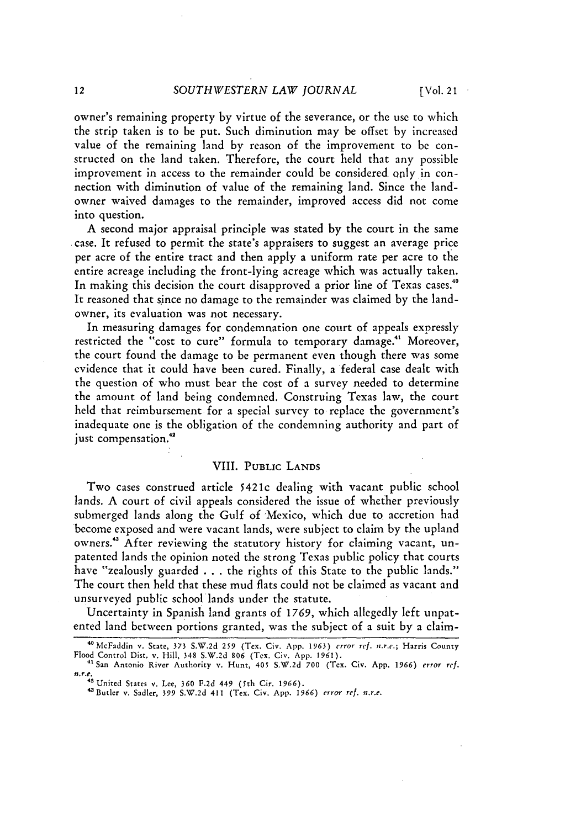owner's remaining property by virtue of the severance, or the use to which the strip taken is to be put. Such diminution may be offset by increased value of the remaining land by reason of the improvement to be constructed on the land taken. Therefore, the court held that any possible improvement in access to the remainder could be considered. only in connection with diminution of value of the remaining land. Since the landowner waived damages to the remainder, improved access did not come into question.

A second major appraisal principle was stated by the court in the same case. It refused to permit the state's appraisers to suggest an average price per acre of the entire tract and then apply a uniform rate per acre to the entire acreage including the front-lying acreage which was actually taken. In making this decision the court disapproved a prior line of Texas cases.<sup>40</sup> It reasoned that since no damage to the remainder was claimed by the landowner, its evaluation was not necessary.

In measuring damages for condemnation one court of appeals expressly restricted the "cost to cure" formula to temporary damage.<sup>41</sup> Moreover, the court found the damage to be permanent even though there was some evidence that it could have been cured. Finally, a federal case dealt with the question of who must bear the cost of a survey needed to determine the amount of land being condemned. Construing Texas law, the court held that reimbursement for a special survey to replace the government's inadequate one is the obligation of the condemning authority and part of just compensation.<sup>42</sup>

#### VIII. PUBLIC LANDS

Two cases construed article 5421c dealing with vacant public school lands. A court of civil appeals considered the issue of whether previously submerged lands along the Gulf of 'Mexico, which due to accretion had become exposed and were vacant lands, were subject to claim by the upland owners.<sup>43</sup> After reviewing the statutory history for claiming vacant, unpatented lands the opinion noted the strong Texas public policy that courts have "zealously guarded . . . the rights of this State to the public lands." The court then held that these mud flats could not be claimed as vacant and unsurveyed public school lands under the statute.

Uncertainty in Spanish land grants of 1769, which allegedly left unpatented land between portions granted, was the subject of a suit by a claim-

<sup>4</sup> McFaddin v. State, 373 S.W.2d **259** (Tex. Civ. App. 1963) *error ref. n.r.e.;* Harris County Flood Control Dist, v. Hill, 348 S.W.2d **806** (Tex. Civ. **App. 1961). <sup>41</sup>**San Antonio River Authority v. Hunt, 405 S.W.2d 700 (Tex. Civ. App. **1966)** *error ref.*

*n.r.c.* S-United States v. Lee, **360 F.2d** 449 (5th Cir. *1966).*

<sup>&#</sup>x27;"Butler v. Sadler, 399 S.W.2d 411 (Tex. Civ. App. *1966) error ref. n.r.e.*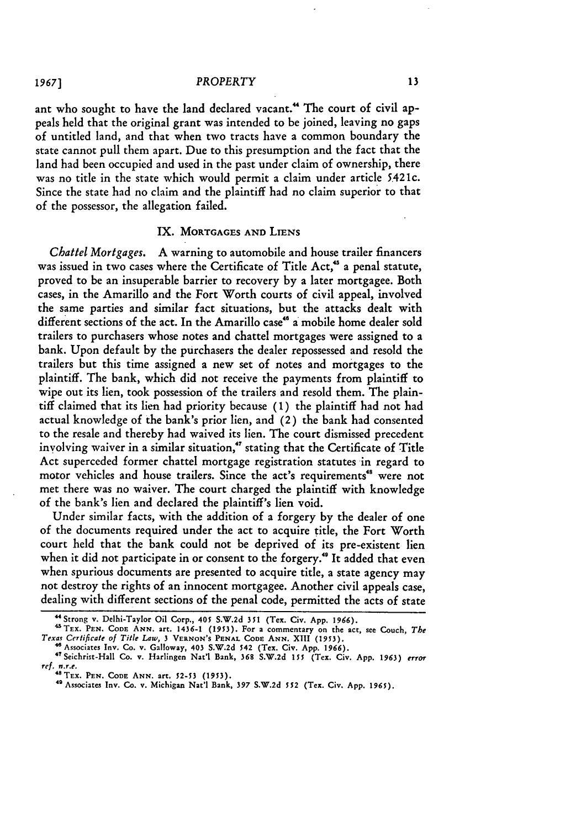ant who sought to have the land declared vacant.<sup>44</sup> The court of civil appeals **held** that the original grant was intended to be joined, leaving no gaps of untitled land, and that when two tracts have a common boundary the state cannot pull them apart. Due to this presumption and the fact that the land had been occupied and used in the past under claim of ownership, there was no title in the state which would permit a claim under article 5.421c. Since the state had no claim and the plaintiff had no claim superior to that of the possessor, the allegation failed.

## IX. **MORTGAGES AND LIENS**

*Chattel Mortgages.* A warning to automobile and house trailer financers was issued in two cases where the Certificate of Title Act,<sup>45</sup> a penal statute, proved to be an insuperable barrier to recovery by a later mortgagee. Both cases, in the Amarillo and the Fort Worth courts of civil appeal, involved the same parties and similar fact situations, but the attacks dealt with different sections of the act. In the Amarillo case" a mobile home dealer sold trailers to purchasers whose notes and chattel mortgages were assigned to a bank. Upon default **by** the purchasers the dealer repossessed and resold the trailers but this time assigned a new set of notes and mortgages to the plaintiff. The bank, which did not receive the payments from plaintiff to wipe out its lien, took possession of the trailers and resold them. The plaintiff claimed that its lien had priority because **(1)** the plaintiff had not had actual knowledge of the bank's prior lien, and (2) the bank had consented to the resale and thereby had waived its lien. The court dismissed precedent involving waiver in a similar situation," stating that the Certificate of Title Act superceded former chattel mortgage registration statutes in regard to motor vehicles and house trailers. Since the act's requirements<sup>48</sup> were not met there was no waiver. The court charged the plaintiff with knowledge of the bank's lien and declared the plaintiff's lien void.

Under similar facts, with the addition of a forgery **by** the dealer of one of the documents required under the act to acquire title, the Fort Worth court **held** that the bank could not be deprived of its pre-existent lien when it did not participate in or consent to the forgery.<sup>49</sup> It added that even when spurious documents are presented to acquire title, a state agency may not destroy the rights of an innocent mortgagee. Another civil appeals case, dealing with different sections of the penal code, permitted the acts of state

*1967]*

**<sup>&</sup>quot;** Strong v. Delhi-Taylor Oil Corp., **405 S.W.2d 351 (Tex.** Civ. **App. 196). 'TEX. PEN. CODE ANN.** art. 1436-1 **(1953). For** a commentary **on** the act, see Couch, *The Texas Certificate of Title Law,* 3 **VERNON'S PENAL CODE ANN. XIII (1953).**

<sup>&#</sup>x27;Associates **Inv. Co. v. Galloway, 403 S.W.2d 542 (Tex. Civ. App. 1966).** 4'Seichrist-Hall Co. v. **Harlingen Nat'l Bank, 368 S.W.2d** *155* **(Tex. Civ. App.** *1963) error ref. n.r.e.* **"'TEX. PEN. CODE ANN.** art. **52-53 (1953).**

<sup>49</sup> Associates **Inv.** Co. v. Michigan Nat'l Bank, **397 S.W.2d** *552* **(Tex. Civ. App. 1965).**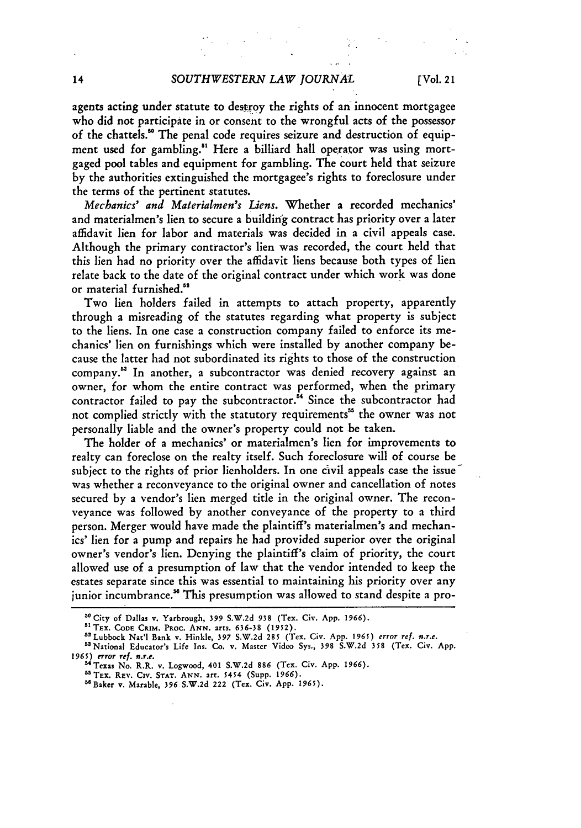agents acting under statute to destroy the rights of an innocent mortgagee who did not participate in or consent to the wrongful acts of the possessor of the chattels." The penal code requires seizure and destruction of equipment used for gambling.<sup>51</sup> Here a billiard hall operator was using mortgaged pool tables and equipment for gambling. The court held that seizure **by** the authorities extinguished the mortgagee's rights to foreclosure under the terms of the pertinent statutes.

*Mechanics' and Materialmen's Liens.* Whether a recorded mechanics' and materialmen's lien to secure a building contract has priority over a later affidavit lien for labor and materials was decided in a civil appeals case. Although the primary contractor's lien was recorded, the court held that this lien had no priority over the affidavit liens because both types of lien relate back to the date of the original contract under which work was done or material furnished."

Two lien holders failed in attempts to attach property, apparently through a misreading of the statutes regarding what property is subject to the liens. In one case a construction company failed to enforce its mechanics' lien on furnishings which were installed **by** another company because the latter had not subordinated its rights to those of the construction company." In another, a subcontractor was denied recovery against an owner, for whom the entire contract was performed, when the primary contractor failed to pay the subcontractor.<sup>54</sup> Since the subcontractor had not complied strictly with the statutory requirements" the owner was not personally liable and the owner's property could not **be** taken.

The holder of a mechanics' or materialmen's lien for improvements to realty can foreclose on the realty itself. Such foreclosure will of course be subject to the rights of prior lienholders. In one civil appeals case the issue was whether a reconveyance to the original owner and cancellation of notes secured by a vendor's lien merged title in the original owner. The reconveyance was followed by another conveyance of the property to a third person. Merger would have made the plaintiff's materialmen's and mechanics' lien for a pump and repairs he had provided superior over the original owner's vendor's lien. Denying the plaintiff's claim of priority, the court allowed use of a presumption of law that the vendor intended to keep the estates separate since this was essential to maintaining his priority over any junior incumbrance." This presumption was allowed to stand despite a pro-

<sup>&</sup>quot;City of Dallas v. Yarbrough, **399** S.W.2d **938** (Tex. Civ. App. **1966).**

**<sup>&</sup>quot;TEX. CODE CRIM.** PRoC. **ANN.** arts. 636-38 **(1952).**

<sup>&</sup>quot;Lubbock Nat'l Bank v. Hinkle, **397** S.W.2d 285 (Tex. Civ. App. 1965) error ref. *n.r.e.*

<sup>&</sup>quot;National Educator's Life Ins. Co. v. Master Video Sys., **398** S.W.2d **358** (Tex. Civ. App. **1965)** error **ref.** *n.r.e.* "Texas No. R.R. v. Logwood, 401 **S.W.2d 886** (Tex. Civ. **App. 1966).**

**<sup>&</sup>quot;** TEX. REv. **CIv. STAT. ANN.** art. 5454 (Supp. **1966).**

<sup>&</sup>lt;sup>56</sup> Baker v. Marable, 396 S.W.2d 222 (Tex. Civ. App. 1965).